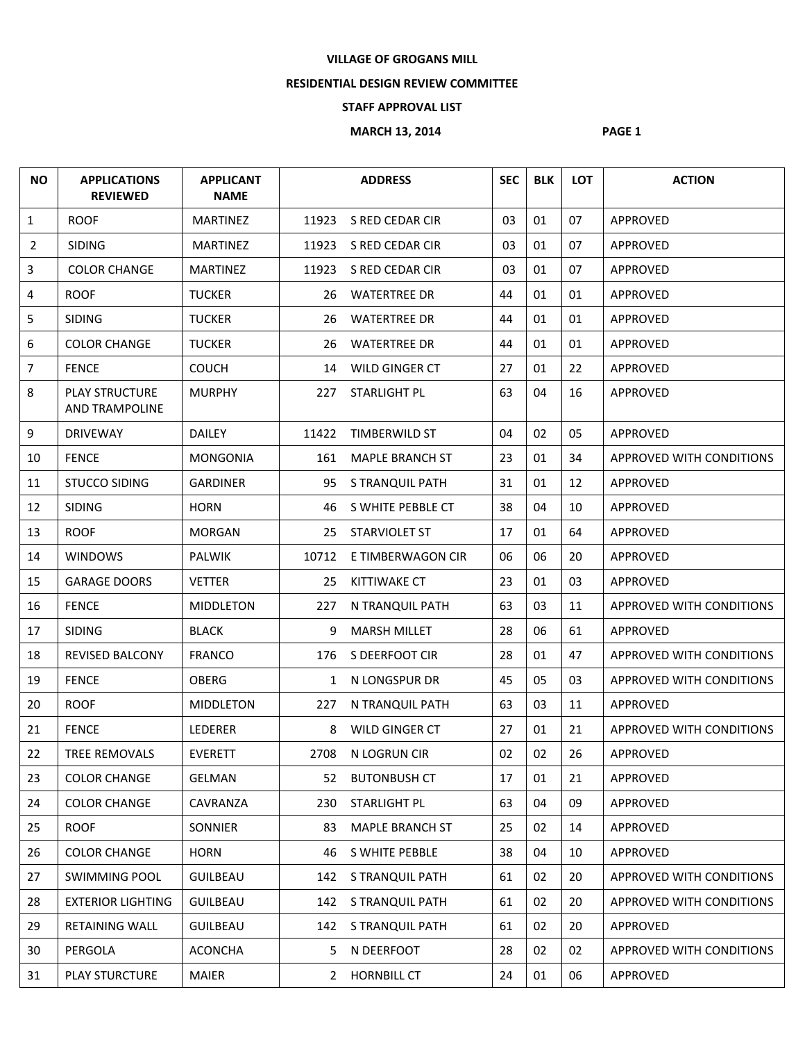## **VILLAGE OF GROGANS MILL**

## **RESIDENTIAL DESIGN REVIEW COMMITTEE**

## **STAFF APPROVAL LIST**

## **MARCH 13, 2014** PAGE 1

| <b>NO</b>      | <b>APPLICATIONS</b><br><b>REVIEWED</b>         | <b>APPLICANT</b><br><b>NAME</b> |             | <b>ADDRESS</b>         | <b>SEC</b> | <b>BLK</b> | <b>LOT</b> | <b>ACTION</b>                   |
|----------------|------------------------------------------------|---------------------------------|-------------|------------------------|------------|------------|------------|---------------------------------|
| 1              | <b>ROOF</b>                                    | <b>MARTINEZ</b>                 | 11923       | S RED CEDAR CIR        | 03         | 01         | 07         | <b>APPROVED</b>                 |
| $\overline{2}$ | <b>SIDING</b>                                  | <b>MARTINEZ</b>                 | 11923       | S RED CEDAR CIR        | 03         | 01         | 07         | APPROVED                        |
| 3              | <b>COLOR CHANGE</b>                            | <b>MARTINEZ</b>                 | 11923       | S RED CEDAR CIR        | 03         | 01         | 07         | APPROVED                        |
| 4              | <b>ROOF</b>                                    | <b>TUCKER</b>                   | 26          | <b>WATERTREE DR</b>    | 44         | 01         | 01         | APPROVED                        |
| 5              | <b>SIDING</b>                                  | <b>TUCKER</b>                   | 26          | <b>WATERTREE DR</b>    | 44         | 01         | 01         | APPROVED                        |
| 6              | <b>COLOR CHANGE</b>                            | <b>TUCKER</b>                   | 26          | <b>WATERTREE DR</b>    | 44         | 01         | 01         | APPROVED                        |
| $\overline{7}$ | <b>FENCE</b>                                   | <b>COUCH</b>                    | 14          | WILD GINGER CT         | 27         | 01         | 22         | APPROVED                        |
| 8              | <b>PLAY STRUCTURE</b><br><b>AND TRAMPOLINE</b> | <b>MURPHY</b>                   | 227         | <b>STARLIGHT PL</b>    | 63         | 04         | 16         | <b>APPROVED</b>                 |
| 9              | <b>DRIVEWAY</b>                                | <b>DAILEY</b>                   | 11422       | <b>TIMBERWILD ST</b>   | 04         | 02         | 05         | APPROVED                        |
| 10             | <b>FENCE</b>                                   | <b>MONGONIA</b>                 | 161         | <b>MAPLE BRANCH ST</b> | 23         | 01         | 34         | <b>APPROVED WITH CONDITIONS</b> |
| 11             | <b>STUCCO SIDING</b>                           | <b>GARDINER</b>                 | 95          | S TRANQUIL PATH        | 31         | 01         | 12         | <b>APPROVED</b>                 |
| 12             | <b>SIDING</b>                                  | <b>HORN</b>                     | 46          | S WHITE PEBBLE CT      | 38         | 04         | 10         | APPROVED                        |
| 13             | <b>ROOF</b>                                    | <b>MORGAN</b>                   | 25          | <b>STARVIOLET ST</b>   | 17         | 01         | 64         | APPROVED                        |
| 14             | <b>WINDOWS</b>                                 | <b>PALWIK</b>                   | 10712       | E TIMBERWAGON CIR      | 06         | 06         | 20         | APPROVED                        |
| 15             | <b>GARAGE DOORS</b>                            | <b>VETTER</b>                   | 25          | <b>KITTIWAKE CT</b>    | 23         | 01         | 03         | APPROVED                        |
| 16             | <b>FENCE</b>                                   | <b>MIDDLETON</b>                | 227         | N TRANQUIL PATH        | 63         | 03         | 11         | APPROVED WITH CONDITIONS        |
| 17             | <b>SIDING</b>                                  | <b>BLACK</b>                    | 9           | <b>MARSH MILLET</b>    | 28         | 06         | 61         | <b>APPROVED</b>                 |
| 18             | <b>REVISED BALCONY</b>                         | <b>FRANCO</b>                   | 176         | S DEERFOOT CIR         | 28         | 01         | 47         | APPROVED WITH CONDITIONS        |
| 19             | <b>FENCE</b>                                   | <b>OBERG</b>                    | 1           | N LONGSPUR DR          | 45         | 05         | 03         | APPROVED WITH CONDITIONS        |
| 20             | <b>ROOF</b>                                    | <b>MIDDLETON</b>                | 227         | N TRANQUIL PATH        | 63         | 03         | 11         | APPROVED                        |
| 21             | <b>FENCE</b>                                   | <b>LEDERER</b>                  | 8           | WILD GINGER CT         | 27         | 01         | 21         | APPROVED WITH CONDITIONS        |
| 22             | TREE REMOVALS                                  | <b>EVERETT</b>                  | 2708        | N LOGRUN CIR           | 02         | 02         | 26         | APPROVED                        |
| 23             | <b>COLOR CHANGE</b>                            | GELMAN                          |             | 52 BUTONBUSH CT        | 17         | 01         | 21         | APPROVED                        |
| 24             | <b>COLOR CHANGE</b>                            | CAVRANZA                        | 230         | STARLIGHT PL           | 63         | 04         | 09         | APPROVED                        |
| 25             | <b>ROOF</b>                                    | <b>SONNIER</b>                  | 83          | <b>MAPLE BRANCH ST</b> | 25         | 02         | 14         | APPROVED                        |
| 26             | <b>COLOR CHANGE</b>                            | <b>HORN</b>                     | 46          | S WHITE PEBBLE         | 38         | 04         | 10         | APPROVED                        |
| 27             | <b>SWIMMING POOL</b>                           | <b>GUILBEAU</b>                 | 142         | S TRANQUIL PATH        | 61         | 02         | 20         | APPROVED WITH CONDITIONS        |
| 28             | <b>EXTERIOR LIGHTING</b>                       | <b>GUILBEAU</b>                 |             | 142 S TRANQUIL PATH    | 61         | 02         | 20         | APPROVED WITH CONDITIONS        |
| 29             | <b>RETAINING WALL</b>                          | <b>GUILBEAU</b>                 |             | 142 S TRANQUIL PATH    | 61         | 02         | 20         | APPROVED                        |
| 30             | PERGOLA                                        | <b>ACONCHA</b>                  | 5           | N DEERFOOT             | 28         | 02         | 02         | APPROVED WITH CONDITIONS        |
| 31             | <b>PLAY STURCTURE</b>                          | <b>MAIER</b>                    | $2^{\circ}$ | <b>HORNBILL CT</b>     | 24         | 01         | 06         | APPROVED                        |